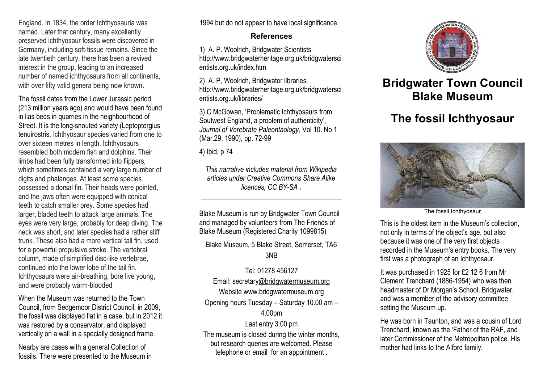England. In 1834, the order Ichthyosauria was named. Later that century, many excellently preserved ichthyosaur fossils were discovered in Germany, including soft-tissue remains. Since the late twentieth century, there has been a revived interest in the group, leading to an increased number of named ichthyosaurs from all continents, with over fifty valid genera being now known.

The fossil dates from the Lower Jurassic period (213 million years ago) and would have been found in lias beds in quarries in the neighbourhood of Street. It is the long-snouted variety (Leptoptergius tenuirostris. Ichthyosaur species varied from one to over sixteen metres in length. Ichthyosaurs resembled both modern fish and dolphins. Their limbs had been fully transformed into flippers, which sometimes contained a very large number of digits and phalanges. At least some species possessed a dorsal fin. Their heads were pointed, and the jaws often were equipped with conical teeth to catch smaller prey. Some species had larger, bladed teeth to attack large animals. The eyes were very large, probably for deep diving. The neck was short, and later species had a rather stiff trunk. These also had a more vertical tail fin, used for a powerful propulsive stroke. The vertebral column, made of simplified disc-like vertebrae, continued into the lower lobe of the tail fin. Ichthyosaurs were air-breathing, bore live young, and were probably warm-blooded

When the Museum was returned to the Town Council, from Sedgemoor District Council, in 2009, the fossil was displayed flat in a case, but in 2012 it was restored by a conservator, and displayed vertically on a wall in a specially designed frame.

Nearby are cases with a general Collection of fossils. There were presented to the Museum in 1994 but do not appear to have local significance.

## **References**

1) A. P. Woolrich, Bridgwater Scientists http://www.bridgwaterheritage.org.uk/bridgwatersci entists.org.uk/index.htm

2) A. P, Woolrich, Bridgwater libraries. http://www.bridgwaterheritage.org.uk/bridgwatersci entists.org.uk/libraries/

3) C McGowan, 'Problematic Ichthyosaurs from Soutwest England, a problem of authenticity', *Journal of Verebrate Paleontaology*, Vol 10. No 1 (Mar.29, 1990), pp. 72-99

4) Ibid, p 74

*This narrative includes material from Wikipedia articles under Creative Commons Share Alike licences, CC BY-SA .*

\_\_\_\_\_\_\_\_\_\_\_\_\_\_\_\_\_\_\_\_\_\_\_\_\_\_\_\_\_\_\_\_\_\_\_\_\_\_\_\_

Blake Museum is run by Bridgwater Town Council and managed by volunteers from The Friends of Blake Museum (Registered Charity 1099815)

Blake Museum, 5 Blake Street, Somerset, TA6 3NB

Tel: 01278 456127 Email: secretar[y@bridgwatermuseum.org](mailto:info@bridgwater.museum.org) Website [www.bridgwatermuseum.org](http://www.bridgwatermuseum.org/) Opening hours Tuesday – Saturday 10.00 am –

## 4.00pm

Last entry 3.00 pm The museum is closed during the winter months, but research queries are welcomed. Please telephone or email for an appointment .



## **Bridgwater Town Council Blake Museum**

## **The fossil Ichthyosaur**



The fossil Ichthyosaur

This is the oldest item in the Museum's collection, not only in terms of the object's age, but also because it was one of the very first objects recorded in the Museum's entry books. The very first was a photograph of an Ichthyosaur.

It was purchased in 1925 for £2 12 6 from Mr Clement Trenchard (1886-1954) who was then headmaster of Dr Morgan's School, Bridgwater, and was a member of the advisory committee setting the Museum up.

He was born in Taunton, and was a cousin of Lord Trenchard, known as the 'Father of the RAF, and later Commissioner of the Metropolitan police. His mother had links to the Alford family.